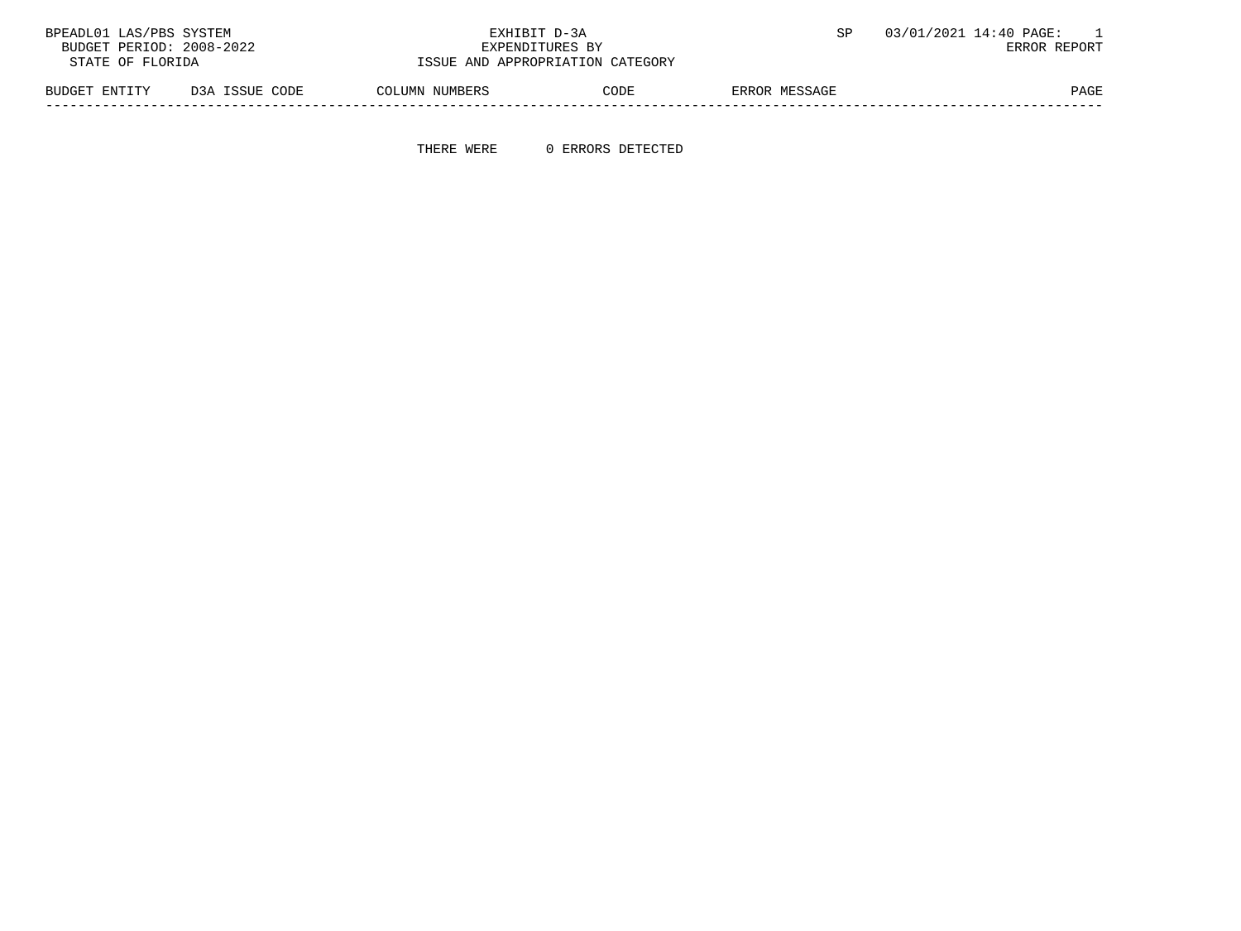| 03/01/2021 14:40 PAGE: |                                  | EXHIBIT D-3A   |                | BPEADL01 LAS/PBS SYSTEM  |
|------------------------|----------------------------------|----------------|----------------|--------------------------|
| ERROR REPORT           | EXPENDITURES BY                  |                |                | BUDGET PERIOD: 2008-2022 |
|                        | ISSUE AND APPROPRIATION CATEGORY |                |                | STATE OF FLORIDA         |
| ERROR MESSAGE          | CODE                             | COLUMN NUMBERS | D3A ISSUE CODE | BUDGET ENTITY            |

-----------------------------------------------------------------------------------------------------------------------------------

THERE WERE 0 ERRORS DETECTED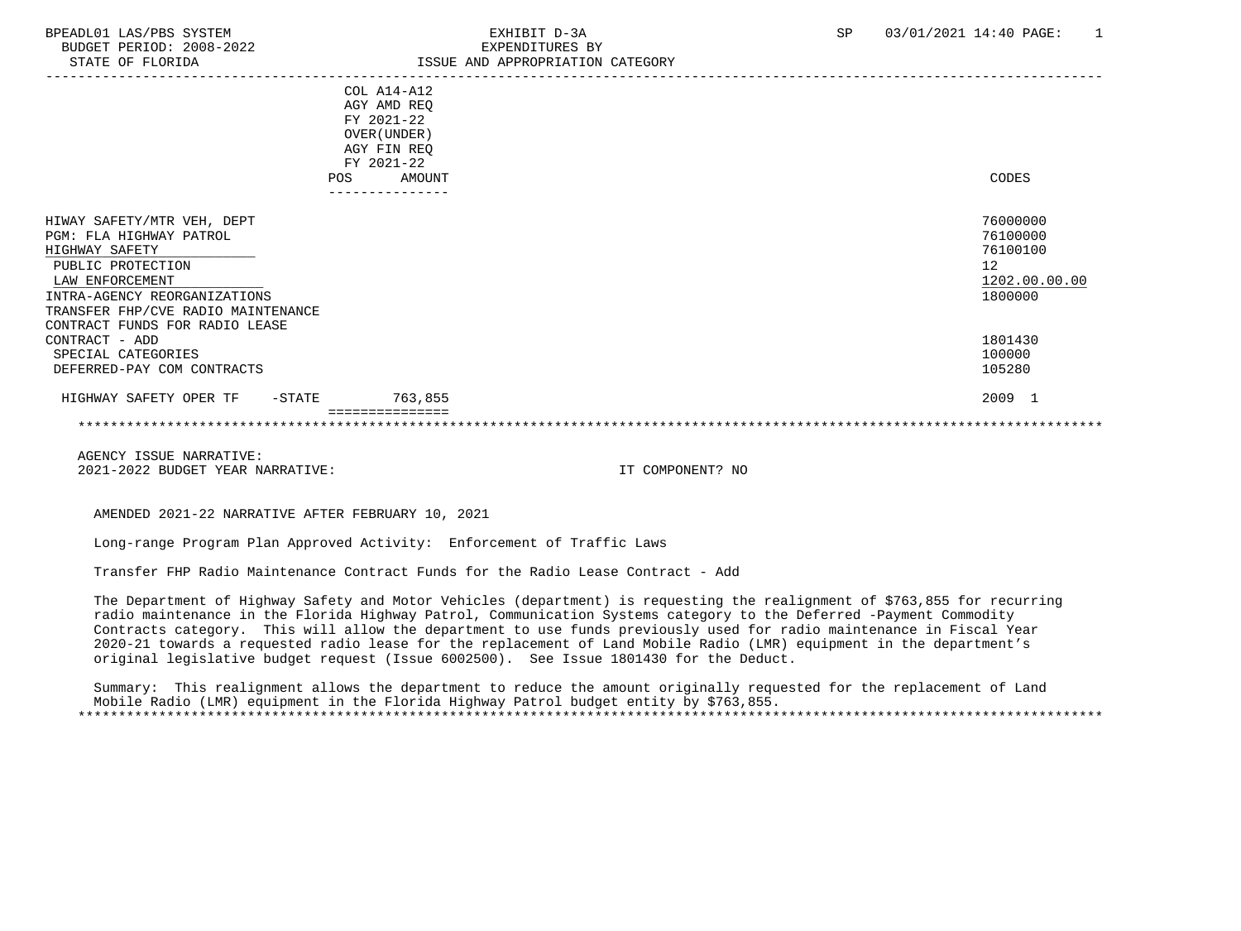| STATE OF FLORIDA                                                                                                                                                                                                        | ISSUE AND APPROPRIATION CATEGORY                                                      |                                                                    |
|-------------------------------------------------------------------------------------------------------------------------------------------------------------------------------------------------------------------------|---------------------------------------------------------------------------------------|--------------------------------------------------------------------|
|                                                                                                                                                                                                                         | COL A14-A12<br>AGY AMD REQ<br>FY 2021-22<br>OVER (UNDER)<br>AGY FIN REQ<br>FY 2021-22 |                                                                    |
|                                                                                                                                                                                                                         | AMOUNT<br><b>POS</b>                                                                  | CODES                                                              |
| HIWAY SAFETY/MTR VEH, DEPT<br>PGM: FLA HIGHWAY PATROL<br>HIGHWAY SAFETY<br>PUBLIC PROTECTION<br>LAW ENFORCEMENT<br>INTRA-AGENCY REORGANIZATIONS<br>TRANSFER FHP/CVE RADIO MAINTENANCE<br>CONTRACT FUNDS FOR RADIO LEASE |                                                                                       | 76000000<br>76100000<br>76100100<br>12<br>1202.00.00.00<br>1800000 |
| CONTRACT - ADD<br>SPECIAL CATEGORIES                                                                                                                                                                                    |                                                                                       | 1801430<br>100000                                                  |
| DEFERRED-PAY COM CONTRACTS                                                                                                                                                                                              |                                                                                       | 105280                                                             |
| HIGHWAY SAFETY OPER TF<br>-STATE                                                                                                                                                                                        | 763,855                                                                               | 2009 1                                                             |
|                                                                                                                                                                                                                         |                                                                                       |                                                                    |
|                                                                                                                                                                                                                         |                                                                                       |                                                                    |

AMENDED 2021-22 NARRATIVE AFTER FEBRUARY 10, 2021

Long-range Program Plan Approved Activity: Enforcement of Traffic Laws

Transfer FHP Radio Maintenance Contract Funds for the Radio Lease Contract - Add

 The Department of Highway Safety and Motor Vehicles (department) is requesting the realignment of \$763,855 for recurring radio maintenance in the Florida Highway Patrol, Communication Systems category to the Deferred -Payment Commodity Contracts category. This will allow the department to use funds previously used for radio maintenance in Fiscal Year 2020-21 towards a requested radio lease for the replacement of Land Mobile Radio (LMR) equipment in the department's original legislative budget request (Issue 6002500). See Issue 1801430 for the Deduct.

 Summary: This realignment allows the department to reduce the amount originally requested for the replacement of Land Mobile Radio (LMR) equipment in the Florida Highway Patrol budget entity by \$763,855. \*\*\*\*\*\*\*\*\*\*\*\*\*\*\*\*\*\*\*\*\*\*\*\*\*\*\*\*\*\*\*\*\*\*\*\*\*\*\*\*\*\*\*\*\*\*\*\*\*\*\*\*\*\*\*\*\*\*\*\*\*\*\*\*\*\*\*\*\*\*\*\*\*\*\*\*\*\*\*\*\*\*\*\*\*\*\*\*\*\*\*\*\*\*\*\*\*\*\*\*\*\*\*\*\*\*\*\*\*\*\*\*\*\*\*\*\*\*\*\*\*\*\*\*\*\*\*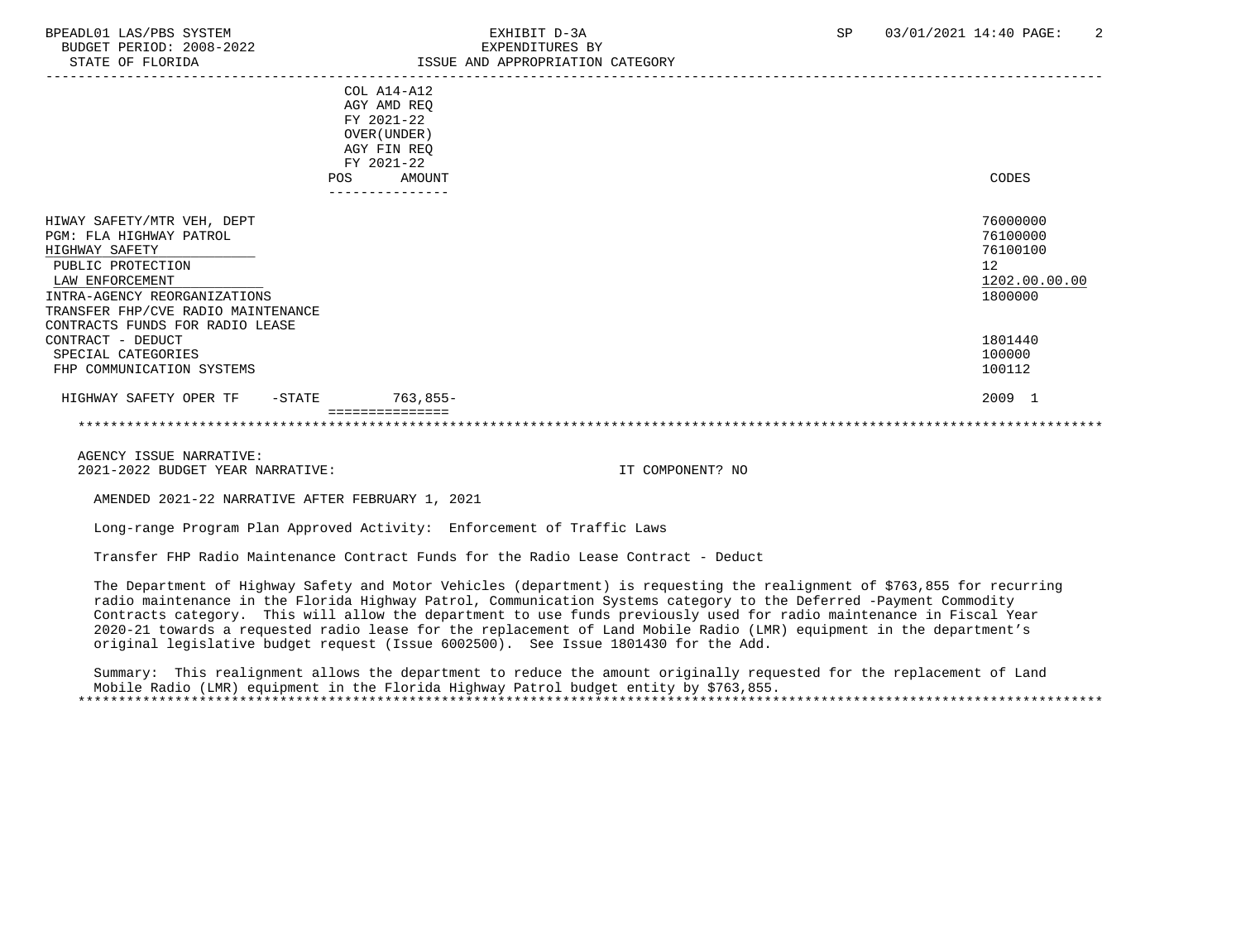| STATE OF FLORIDA                                                                                                                                                                                                         | ISSUE AND APPROPRIATION CATEGORY                                                      |                                                                    |
|--------------------------------------------------------------------------------------------------------------------------------------------------------------------------------------------------------------------------|---------------------------------------------------------------------------------------|--------------------------------------------------------------------|
|                                                                                                                                                                                                                          | COL A14-A12<br>AGY AMD REQ<br>FY 2021-22<br>OVER (UNDER)<br>AGY FIN REQ<br>FY 2021-22 |                                                                    |
|                                                                                                                                                                                                                          | POS<br>AMOUNT<br>---------------                                                      | CODES                                                              |
| HIWAY SAFETY/MTR VEH, DEPT<br>PGM: FLA HIGHWAY PATROL<br>HIGHWAY SAFETY<br>PUBLIC PROTECTION<br>LAW ENFORCEMENT<br>INTRA-AGENCY REORGANIZATIONS<br>TRANSFER FHP/CVE RADIO MAINTENANCE<br>CONTRACTS FUNDS FOR RADIO LEASE |                                                                                       | 76000000<br>76100000<br>76100100<br>12<br>1202.00.00.00<br>1800000 |
| CONTRACT - DEDUCT<br>SPECIAL CATEGORIES<br>FHP COMMUNICATION SYSTEMS                                                                                                                                                     |                                                                                       | 1801440<br>100000<br>100112                                        |
| HIGHWAY SAFETY OPER TF<br>$-$ STATE                                                                                                                                                                                      | $763,855-$                                                                            | 2009 1                                                             |
|                                                                                                                                                                                                                          | ===============                                                                       |                                                                    |

AMENDED 2021-22 NARRATIVE AFTER FEBRUARY 1, 2021

Long-range Program Plan Approved Activity: Enforcement of Traffic Laws

Transfer FHP Radio Maintenance Contract Funds for the Radio Lease Contract - Deduct

 The Department of Highway Safety and Motor Vehicles (department) is requesting the realignment of \$763,855 for recurring radio maintenance in the Florida Highway Patrol, Communication Systems category to the Deferred -Payment Commodity Contracts category. This will allow the department to use funds previously used for radio maintenance in Fiscal Year 2020-21 towards a requested radio lease for the replacement of Land Mobile Radio (LMR) equipment in the department's original legislative budget request (Issue 6002500). See Issue 1801430 for the Add.

 Summary: This realignment allows the department to reduce the amount originally requested for the replacement of Land Mobile Radio (LMR) equipment in the Florida Highway Patrol budget entity by \$763,855. \*\*\*\*\*\*\*\*\*\*\*\*\*\*\*\*\*\*\*\*\*\*\*\*\*\*\*\*\*\*\*\*\*\*\*\*\*\*\*\*\*\*\*\*\*\*\*\*\*\*\*\*\*\*\*\*\*\*\*\*\*\*\*\*\*\*\*\*\*\*\*\*\*\*\*\*\*\*\*\*\*\*\*\*\*\*\*\*\*\*\*\*\*\*\*\*\*\*\*\*\*\*\*\*\*\*\*\*\*\*\*\*\*\*\*\*\*\*\*\*\*\*\*\*\*\*\*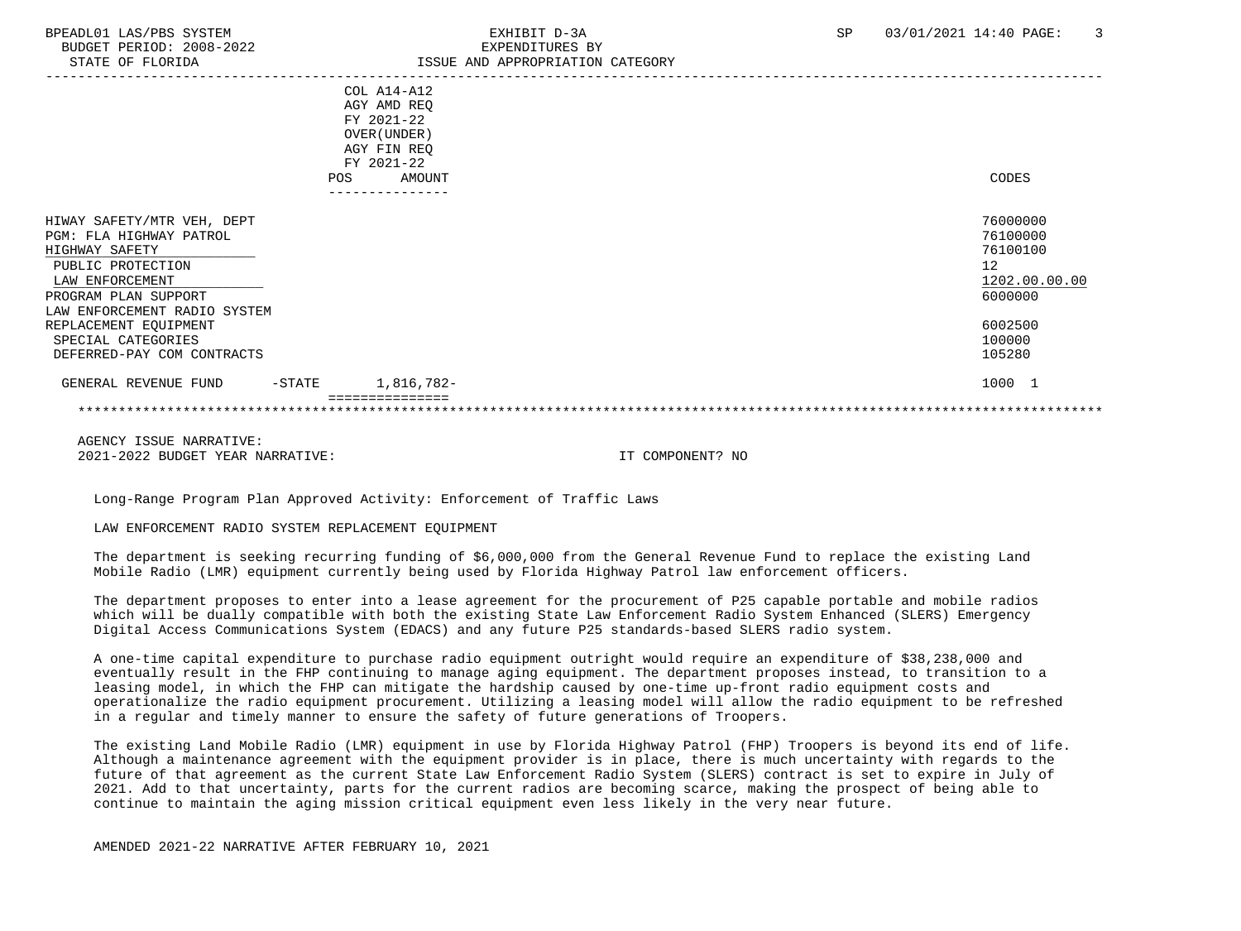|                                                                                                                                                                                                                                                      |           | COL A14-A12<br>AGY AMD REQ<br>FY 2021-22<br>OVER (UNDER)<br>AGY FIN REQ<br>FY 2021-22 |                                                                                                   |
|------------------------------------------------------------------------------------------------------------------------------------------------------------------------------------------------------------------------------------------------------|-----------|---------------------------------------------------------------------------------------|---------------------------------------------------------------------------------------------------|
|                                                                                                                                                                                                                                                      | POS       | AMOUNT                                                                                | CODES                                                                                             |
|                                                                                                                                                                                                                                                      |           | -------------                                                                         |                                                                                                   |
| HIWAY SAFETY/MTR VEH, DEPT<br>PGM: FLA HIGHWAY PATROL<br>HIGHWAY SAFETY<br>PUBLIC PROTECTION<br>LAW ENFORCEMENT<br>PROGRAM PLAN SUPPORT<br>LAW ENFORCEMENT RADIO SYSTEM<br>REPLACEMENT EQUIPMENT<br>SPECIAL CATEGORIES<br>DEFERRED-PAY COM CONTRACTS |           |                                                                                       | 76000000<br>76100000<br>76100100<br>12<br>1202.00.00.00<br>6000000<br>6002500<br>100000<br>105280 |
| GENERAL REVENUE FUND                                                                                                                                                                                                                                 | $-$ STATE | 1,816,782-                                                                            | 1000 1                                                                                            |
|                                                                                                                                                                                                                                                      |           |                                                                                       |                                                                                                   |

Long-Range Program Plan Approved Activity: Enforcement of Traffic Laws

## LAW ENFORCEMENT RADIO SYSTEM REPLACEMENT EQUIPMENT

 The department is seeking recurring funding of \$6,000,000 from the General Revenue Fund to replace the existing Land Mobile Radio (LMR) equipment currently being used by Florida Highway Patrol law enforcement officers.

 The department proposes to enter into a lease agreement for the procurement of P25 capable portable and mobile radios which will be dually compatible with both the existing State Law Enforcement Radio System Enhanced (SLERS) Emergency Digital Access Communications System (EDACS) and any future P25 standards-based SLERS radio system.

 A one-time capital expenditure to purchase radio equipment outright would require an expenditure of \$38,238,000 and eventually result in the FHP continuing to manage aging equipment. The department proposes instead, to transition to a leasing model, in which the FHP can mitigate the hardship caused by one-time up-front radio equipment costs and operationalize the radio equipment procurement. Utilizing a leasing model will allow the radio equipment to be refreshed in a regular and timely manner to ensure the safety of future generations of Troopers.

 The existing Land Mobile Radio (LMR) equipment in use by Florida Highway Patrol (FHP) Troopers is beyond its end of life. Although a maintenance agreement with the equipment provider is in place, there is much uncertainty with regards to the future of that agreement as the current State Law Enforcement Radio System (SLERS) contract is set to expire in July of 2021. Add to that uncertainty, parts for the current radios are becoming scarce, making the prospect of being able to continue to maintain the aging mission critical equipment even less likely in the very near future.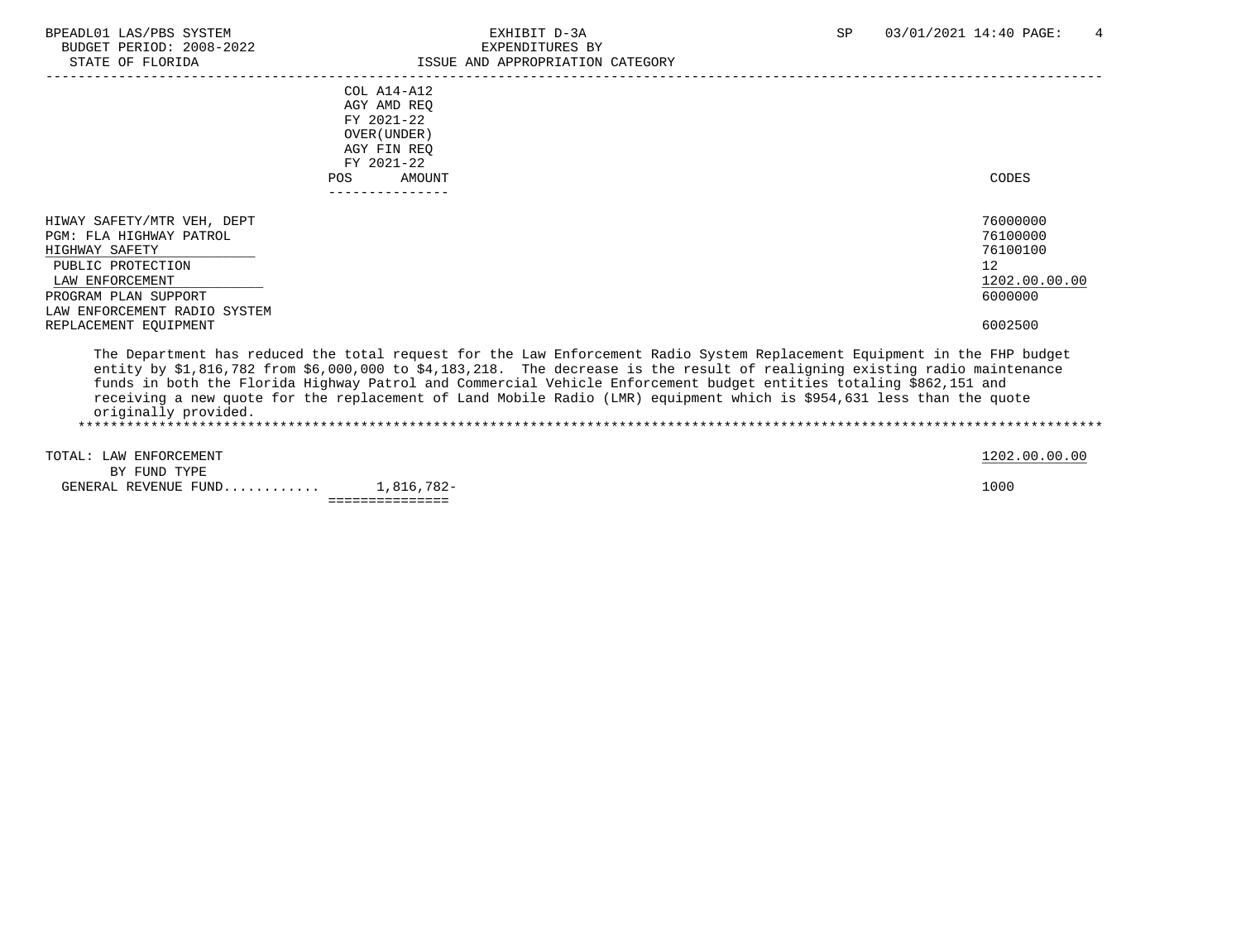|                              | $COL A14 - A12$<br>AGY AMD REO |                                                                                                                            |               |
|------------------------------|--------------------------------|----------------------------------------------------------------------------------------------------------------------------|---------------|
|                              | FY 2021-22                     |                                                                                                                            |               |
|                              | OVER (UNDER)                   |                                                                                                                            |               |
|                              | AGY FIN REO                    |                                                                                                                            |               |
|                              | FY 2021-22                     |                                                                                                                            |               |
|                              | AMOUNT<br>POS                  |                                                                                                                            | CODES         |
|                              |                                |                                                                                                                            |               |
| HIWAY SAFETY/MTR VEH, DEPT   |                                |                                                                                                                            | 76000000      |
| PGM: FLA HIGHWAY PATROL      |                                |                                                                                                                            | 76100000      |
| HIGHWAY SAFETY               |                                |                                                                                                                            | 76100100      |
| PUBLIC PROTECTION            |                                |                                                                                                                            | 12            |
| LAW ENFORCEMENT              |                                |                                                                                                                            | 1202.00.00.00 |
| PROGRAM PLAN SUPPORT         |                                |                                                                                                                            | 6000000       |
| LAW ENFORCEMENT RADIO SYSTEM |                                |                                                                                                                            |               |
| REPLACEMENT EOUIPMENT        |                                |                                                                                                                            | 6002500       |
|                              |                                | The Department has reduced the total request for the Law Enforcement Radio System Replacement Equipment in the FHP budget  |               |
|                              |                                | entity by \$1,816,782 from \$6,000,000 to \$4,183,218. The decrease is the result of realigning existing radio maintenance |               |
|                              |                                | funds in both the Florida Highway Patrol and Commercial Vehicle Enforcement budget entities totaling \$862,151 and         |               |
|                              |                                | receiving a new quote for the replacement of Land Mobile Radio (LMR) equipment which is \$954,631 less than the quote      |               |

originally provided.

 \*\*\*\*\*\*\*\*\*\*\*\*\*\*\*\*\*\*\*\*\*\*\*\*\*\*\*\*\*\*\*\*\*\*\*\*\*\*\*\*\*\*\*\*\*\*\*\*\*\*\*\*\*\*\*\*\*\*\*\*\*\*\*\*\*\*\*\*\*\*\*\*\*\*\*\*\*\*\*\*\*\*\*\*\*\*\*\*\*\*\*\*\*\*\*\*\*\*\*\*\*\*\*\*\*\*\*\*\*\*\*\*\*\*\*\*\*\*\*\*\*\*\*\*\*\*\* TOTAL: LAW ENFORCEMENT 1202.00.00 COLORED 1202.00.00 COLORED 1202.00.00 COLORED 1202.00.00 BY FUND TYPE

 GENERAL REVENUE FUND............ 1,816,782- 1000 ===============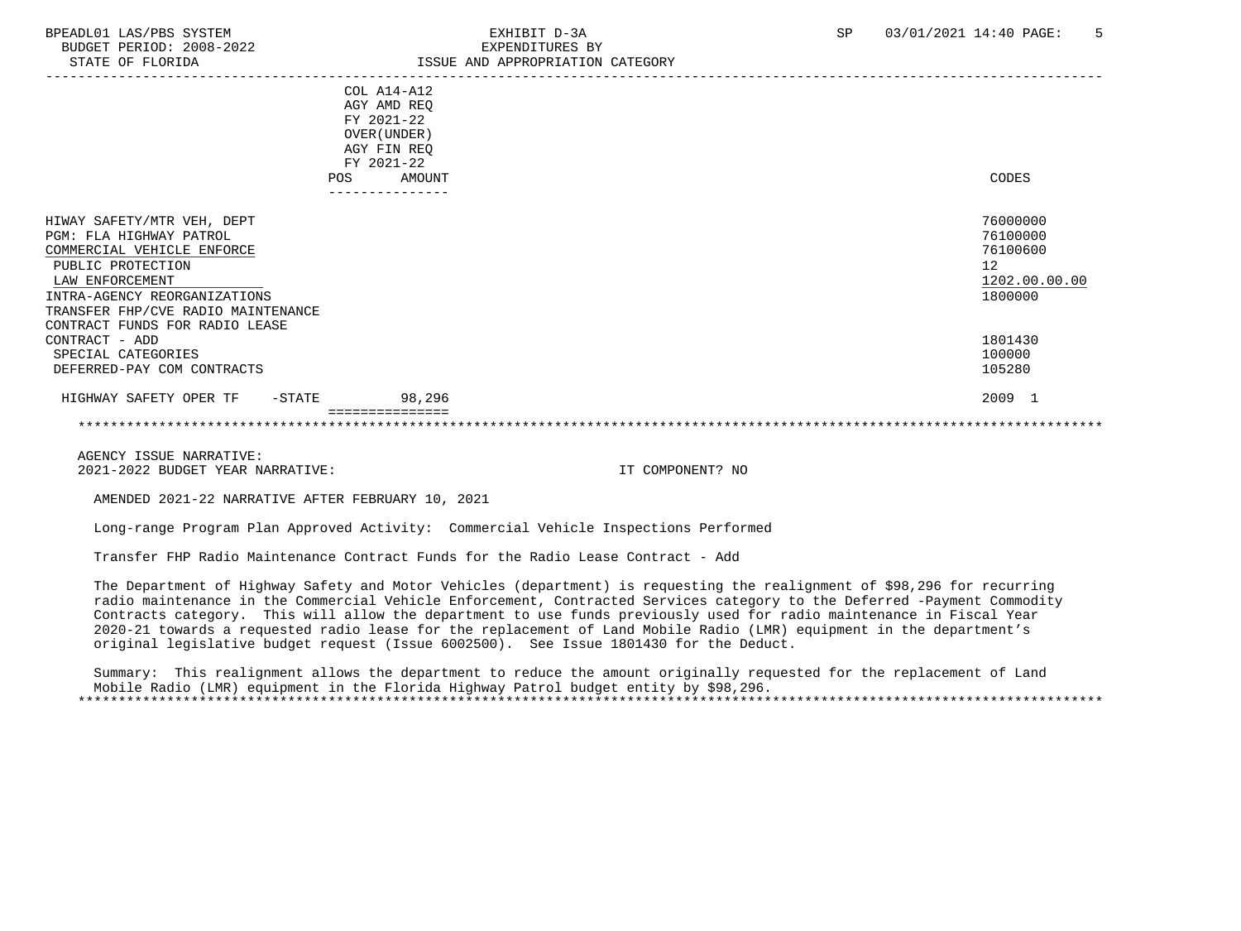| STATE OF FLORIDA                                                                                                                                                                                                                    | ISSUE AND APPROPRIATION CATEGORY                                                                       |                                                                    |
|-------------------------------------------------------------------------------------------------------------------------------------------------------------------------------------------------------------------------------------|--------------------------------------------------------------------------------------------------------|--------------------------------------------------------------------|
|                                                                                                                                                                                                                                     | COL A14-A12<br>AGY AMD REQ<br>FY 2021-22<br>OVER (UNDER)<br>AGY FIN REQ<br>FY 2021-22<br>AMOUNT<br>POS | CODES                                                              |
|                                                                                                                                                                                                                                     |                                                                                                        |                                                                    |
| HIWAY SAFETY/MTR VEH, DEPT<br>PGM: FLA HIGHWAY PATROL<br>COMMERCIAL VEHICLE ENFORCE<br>PUBLIC PROTECTION<br>LAW ENFORCEMENT<br>INTRA-AGENCY REORGANIZATIONS<br>TRANSFER FHP/CVE RADIO MAINTENANCE<br>CONTRACT FUNDS FOR RADIO LEASE |                                                                                                        | 76000000<br>76100000<br>76100600<br>12<br>1202.00.00.00<br>1800000 |
| CONTRACT - ADD                                                                                                                                                                                                                      |                                                                                                        | 1801430                                                            |
| SPECIAL CATEGORIES<br>DEFERRED-PAY COM CONTRACTS                                                                                                                                                                                    |                                                                                                        | 100000<br>105280                                                   |
| HIGHWAY SAFETY OPER TF<br>$-$ STATE                                                                                                                                                                                                 | 98,296                                                                                                 | 2009 1                                                             |
|                                                                                                                                                                                                                                     | ===============                                                                                        |                                                                    |

AMENDED 2021-22 NARRATIVE AFTER FEBRUARY 10, 2021

Long-range Program Plan Approved Activity: Commercial Vehicle Inspections Performed

Transfer FHP Radio Maintenance Contract Funds for the Radio Lease Contract - Add

 The Department of Highway Safety and Motor Vehicles (department) is requesting the realignment of \$98,296 for recurring radio maintenance in the Commercial Vehicle Enforcement, Contracted Services category to the Deferred -Payment Commodity Contracts category. This will allow the department to use funds previously used for radio maintenance in Fiscal Year 2020-21 towards a requested radio lease for the replacement of Land Mobile Radio (LMR) equipment in the department's original legislative budget request (Issue 6002500). See Issue 1801430 for the Deduct.

 Summary: This realignment allows the department to reduce the amount originally requested for the replacement of Land Mobile Radio (LMR) equipment in the Florida Highway Patrol budget entity by \$98,296. \*\*\*\*\*\*\*\*\*\*\*\*\*\*\*\*\*\*\*\*\*\*\*\*\*\*\*\*\*\*\*\*\*\*\*\*\*\*\*\*\*\*\*\*\*\*\*\*\*\*\*\*\*\*\*\*\*\*\*\*\*\*\*\*\*\*\*\*\*\*\*\*\*\*\*\*\*\*\*\*\*\*\*\*\*\*\*\*\*\*\*\*\*\*\*\*\*\*\*\*\*\*\*\*\*\*\*\*\*\*\*\*\*\*\*\*\*\*\*\*\*\*\*\*\*\*\*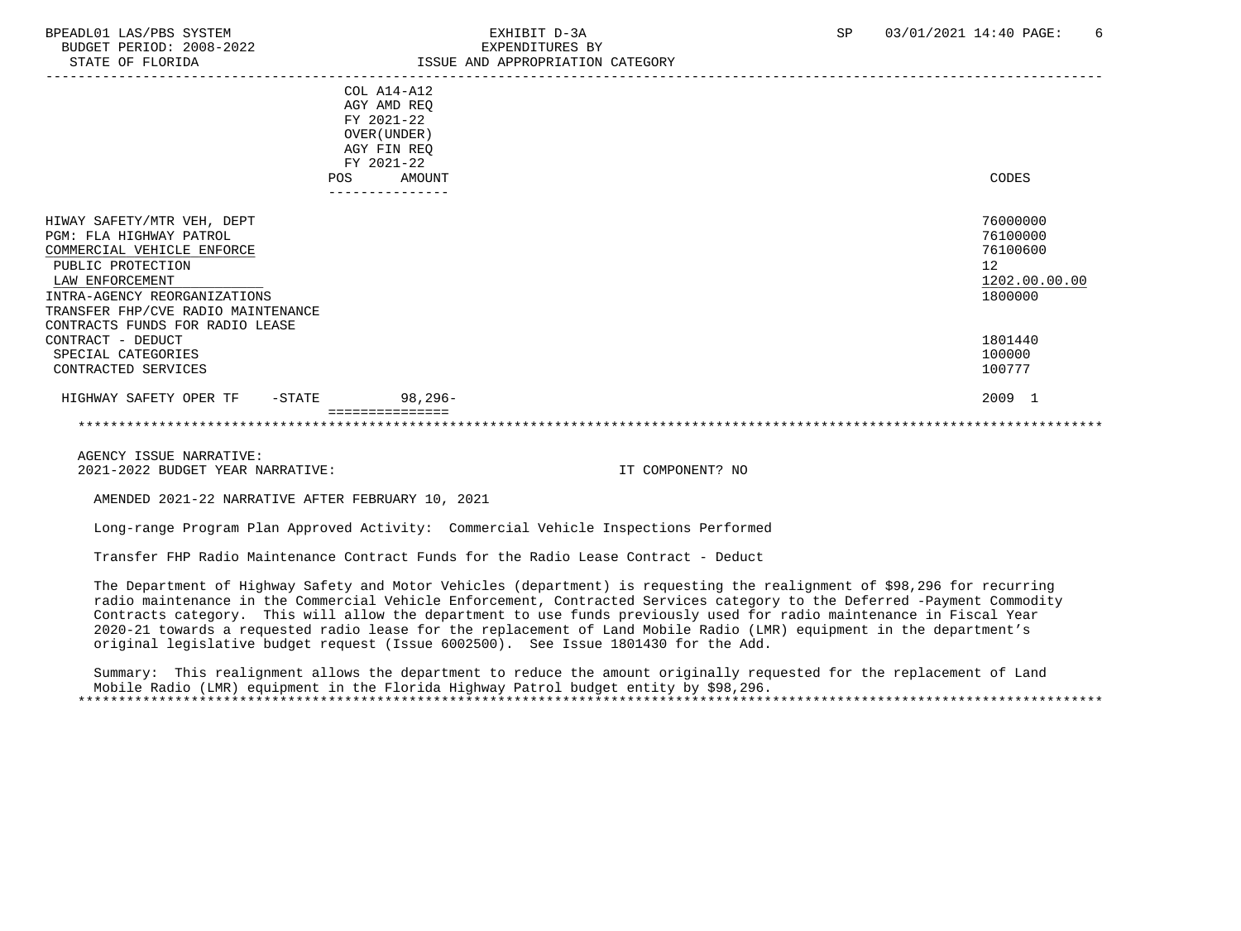| STATE OF FLORIDA                                                                                                                                                                                  | ISSUE AND APPROPRIATION CATEGORY                         |                                                                    |
|---------------------------------------------------------------------------------------------------------------------------------------------------------------------------------------------------|----------------------------------------------------------|--------------------------------------------------------------------|
|                                                                                                                                                                                                   | COL A14-A12<br>AGY AMD REQ<br>FY 2021-22<br>OVER (UNDER) |                                                                    |
|                                                                                                                                                                                                   | AGY FIN REQ<br>FY 2021-22                                |                                                                    |
|                                                                                                                                                                                                   | POS<br>AMOUNT                                            | CODES                                                              |
| HIWAY SAFETY/MTR VEH, DEPT<br>PGM: FLA HIGHWAY PATROL<br>COMMERCIAL VEHICLE ENFORCE<br>PUBLIC PROTECTION<br>LAW ENFORCEMENT<br>INTRA-AGENCY REORGANIZATIONS<br>TRANSFER FHP/CVE RADIO MAINTENANCE |                                                          | 76000000<br>76100000<br>76100600<br>12<br>1202.00.00.00<br>1800000 |
| CONTRACTS FUNDS FOR RADIO LEASE<br>CONTRACT - DEDUCT<br>SPECIAL CATEGORIES<br>CONTRACTED SERVICES                                                                                                 |                                                          | 1801440<br>100000<br>100777                                        |
| HIGHWAY SAFETY OPER TF<br>$-$ STATE                                                                                                                                                               | 98,296-                                                  | 2009 1                                                             |
|                                                                                                                                                                                                   | ===============                                          |                                                                    |

AMENDED 2021-22 NARRATIVE AFTER FEBRUARY 10, 2021

Long-range Program Plan Approved Activity: Commercial Vehicle Inspections Performed

Transfer FHP Radio Maintenance Contract Funds for the Radio Lease Contract - Deduct

 The Department of Highway Safety and Motor Vehicles (department) is requesting the realignment of \$98,296 for recurring radio maintenance in the Commercial Vehicle Enforcement, Contracted Services category to the Deferred -Payment Commodity Contracts category. This will allow the department to use funds previously used for radio maintenance in Fiscal Year 2020-21 towards a requested radio lease for the replacement of Land Mobile Radio (LMR) equipment in the department's original legislative budget request (Issue 6002500). See Issue 1801430 for the Add.

 Summary: This realignment allows the department to reduce the amount originally requested for the replacement of Land Mobile Radio (LMR) equipment in the Florida Highway Patrol budget entity by \$98,296. \*\*\*\*\*\*\*\*\*\*\*\*\*\*\*\*\*\*\*\*\*\*\*\*\*\*\*\*\*\*\*\*\*\*\*\*\*\*\*\*\*\*\*\*\*\*\*\*\*\*\*\*\*\*\*\*\*\*\*\*\*\*\*\*\*\*\*\*\*\*\*\*\*\*\*\*\*\*\*\*\*\*\*\*\*\*\*\*\*\*\*\*\*\*\*\*\*\*\*\*\*\*\*\*\*\*\*\*\*\*\*\*\*\*\*\*\*\*\*\*\*\*\*\*\*\*\*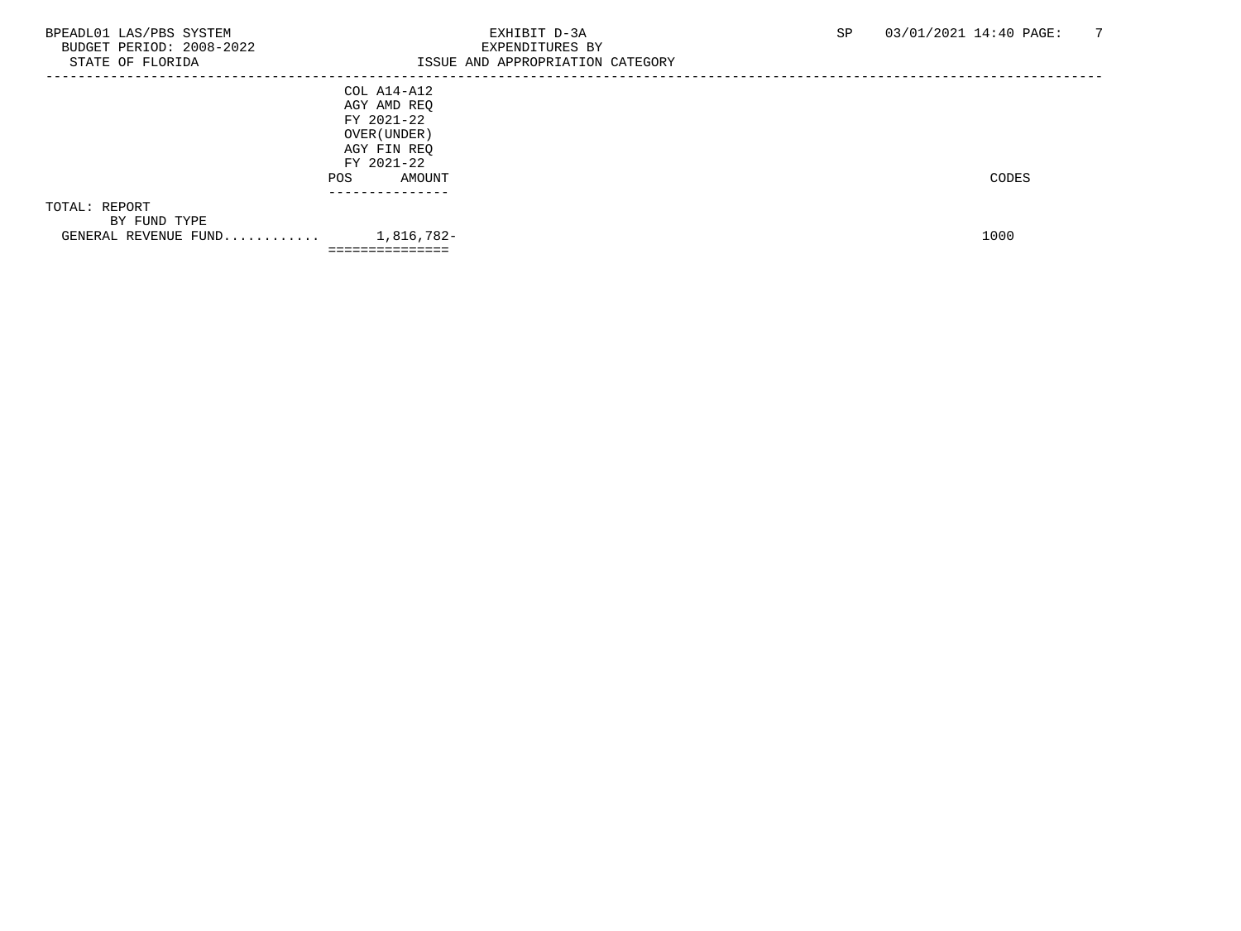| STATE OF FLORIDA     | =============<br>ISSUE AND APPROPRIATION CATEGORY |       |
|----------------------|---------------------------------------------------|-------|
|                      | COL A14-A12                                       |       |
|                      | AGY AMD REQ                                       |       |
|                      | FY 2021-22                                        |       |
|                      | OVER (UNDER )                                     |       |
|                      | AGY FIN REQ                                       |       |
|                      | FY 2021-22                                        |       |
|                      | AMOUNT<br>POS.                                    | CODES |
|                      |                                                   |       |
| TOTAL: REPORT        |                                                   |       |
| BY FUND TYPE         |                                                   |       |
| GENERAL REVENUE FUND | 1,816,782-                                        | 1000  |
|                      | ----------------                                  |       |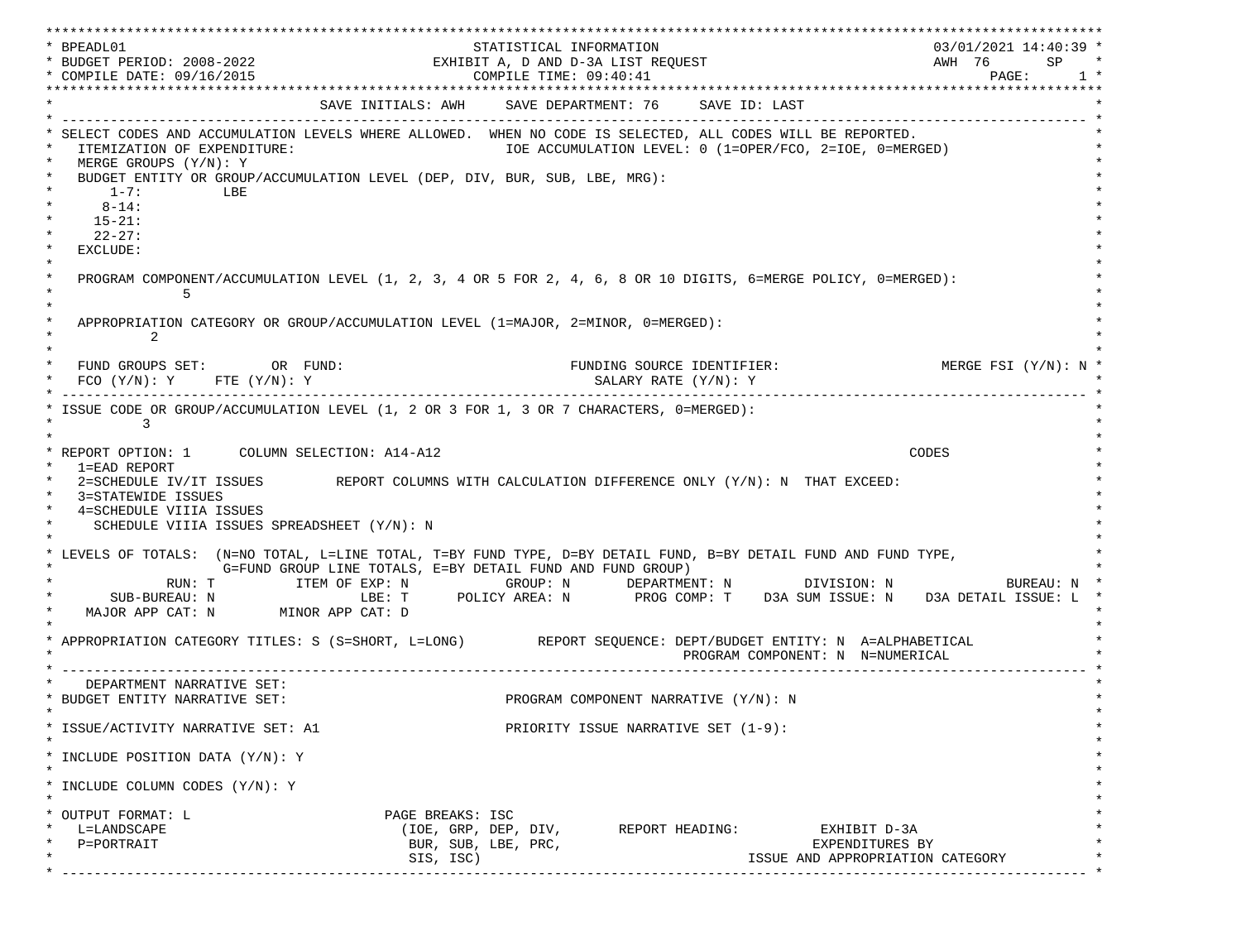\*\*\*\*\*\*\*\*\*\*\*\*\*\*\*\*\*\*\*\*\*\*\*\*\*\*\*\*\*\*\*\*\*\*\*\*\*\*\*\*\*\*\*\*\*\*\*\*\*\*\*\*\*\*\*\*\*\*\*\*\*\*\*\*\*\*\*\*\*\*\*\*\*\*\*\*\*\*\*\*\*\*\*\*\*\*\*\*\*\*\*\*\*\*\*\*\*\*\*\*\*\*\*\*\*\*\*\*\*\*\*\*\*\*\*\*\*\*\*\*\*\*\*\*\*\*\*\*\*\*\* \* BPEADL01 STATISTICAL INFORMATION 03/01/2021 14:40:39 \* \* BUDGET PERIOD: 2008-2022 EXHIBIT A, D AND D-3A LIST REQUEST AWH 76 SP \* \* COMPILE DATE: 09/16/2015 COMPILE TIME: 09:40:41 PAGE: 1 \* \*\*\*\*\*\*\*\*\*\*\*\*\*\*\*\*\*\*\*\*\*\*\*\*\*\*\*\*\*\*\*\*\*\*\*\*\*\*\*\*\*\*\*\*\*\*\*\*\*\*\*\*\*\*\*\*\*\*\*\*\*\*\*\*\*\*\*\*\*\*\*\*\*\*\*\*\*\*\*\*\*\*\*\*\*\*\*\*\*\*\*\*\*\*\*\*\*\*\*\*\*\*\*\*\*\*\*\*\*\*\*\*\*\*\*\*\*\*\*\*\*\*\*\*\*\*\*\*\*\*\* SAVE INITIALS: AWH SAVE DEPARTMENT: 76 SAVE ID: LAST \* ------------------------------------------------------------------------------------------------------------------------------- \* SELECT CODES AND ACCUMULATION LEVELS WHERE ALLOWED. WHEN NO CODE IS SELECTED, ALL CODES WILL BE REPORTED. ITEMIZATION OF EXPENDITURE:  $\overline{10E}$  accumulation level: 0 (1=OPER/FCO, 2=IOE, 0=MERGED)  $MERGE$  GROUPS  $(Y/N): Y$ BUDGET ENTITY OR GROUP/ACCUMULATION LEVEL (DEP, DIV, BUR, SUB, LBE, MRG):  $*$  1-7: LBE  $*$  $*$  8-14:  $*$  $*$  15-21:  $*$  $*$  22-27: \* \* EXCLUDE: \*  $\star$   $\star$  \* PROGRAM COMPONENT/ACCUMULATION LEVEL (1, 2, 3, 4 OR 5 FOR 2, 4, 6, 8 OR 10 DIGITS, 6=MERGE POLICY, 0=MERGED): \*  $\star$  5  $\star$  $\star$   $\star$ APPROPRIATION CATEGORY OR GROUP/ACCUMULATION LEVEL (1=MAJOR, 2=MINOR, 0=MERGED):  $\star$  2  $\star$  $\star$   $\star$ FUND GROUPS SET: OR FUND: THE SOURCE IDENTIFIER: MERGE FSI (Y/N): N  $FCO (Y/N): Y$  FTE  $(Y/N): Y$  SALARY RATE  $(Y/N): Y$  \* ------------------------------------------------------------------------------------------------------------------------------- \* ISSUE CODE OR GROUP/ACCUMULATION LEVEL (1, 2 OR 3 FOR 1, 3 OR 7 CHARACTERS, 0=MERGED):  $\star$  3  $\star$  $\star$   $\star$  \* REPORT OPTION: 1 COLUMN SELECTION: A14-A12 CODES \* \* 1=EAD REPORT \* 2=SCHEDULE IV/IT ISSUES REPORT COLUMNS WITH CALCULATION DIFFERENCE ONLY (Y/N): N THAT EXCEED: 3=STATEWIDE ISSUES 4=SCHEDULE VIIIA ISSUES SCHEDULE VIIIA ISSUES SPREADSHEET (Y/N): N \* \* \* LEVELS OF TOTALS: (N=NO TOTAL, L=LINE TOTAL, T=BY FUND TYPE, D=BY DETAIL FUND, B=BY DETAIL FUND AND FUND TYPE, \* G=FUND GROUP LINE TOTALS, E=BY DETAIL FUND AND FUND GROUP) \* RUN: T ITEM OF EXP: N GROUP: N DEPARTMENT: N DIVISION: N BUREAU: N \* \* SUB-BUREAU: N LBE: T POLICY AREA: N PROG COMP: T D3A SUM ISSUE: N D3A DETAIL ISSUE: L \* MAJOR APP CAT: N MINOR APP CAT: D \* \* APPROPRIATION CATEGORY TITLES: S (S=SHORT, L=LONG) REPORT SEQUENCE: DEPT/BUDGET ENTITY: N A=ALPHABETICAL PROGRAM COMPONENT: N N=NUMERICAL \* ------------------------------------------------------------------------------------------------------------------------------- \* DEPARTMENT NARRATIVE SET:<br>BUDGET ENTITY NARRATIVE SET: PROGRAM COMPONENT NARRATIVE (Y/N): N \* \* \* ISSUE/ACTIVITY NARRATIVE SET: A1 PRIORITY ISSUE NARRATIVE SET (1-9): \*  $\star$   $\star$  \* INCLUDE POSITION DATA (Y/N): Y \* \* \* INCLUDE COLUMN CODES  $(Y/N): Y$  \* \* \* OUTPUT FORMAT: L PAGE BREAKS: ISC \* \* L=LANDSCAPE (IOE, GRP, DEP, DIV, REPORT HEADING: EXHIBIT D-3A \* \* P=PORTRAIT BUR, SUB, LBE, PRC, EXPENDITURES BY \* SIS, ISC) ISSUE AND APPROPRIATION CATEGORY \* ------------------------------------------------------------------------------------------------------------------------------- \*